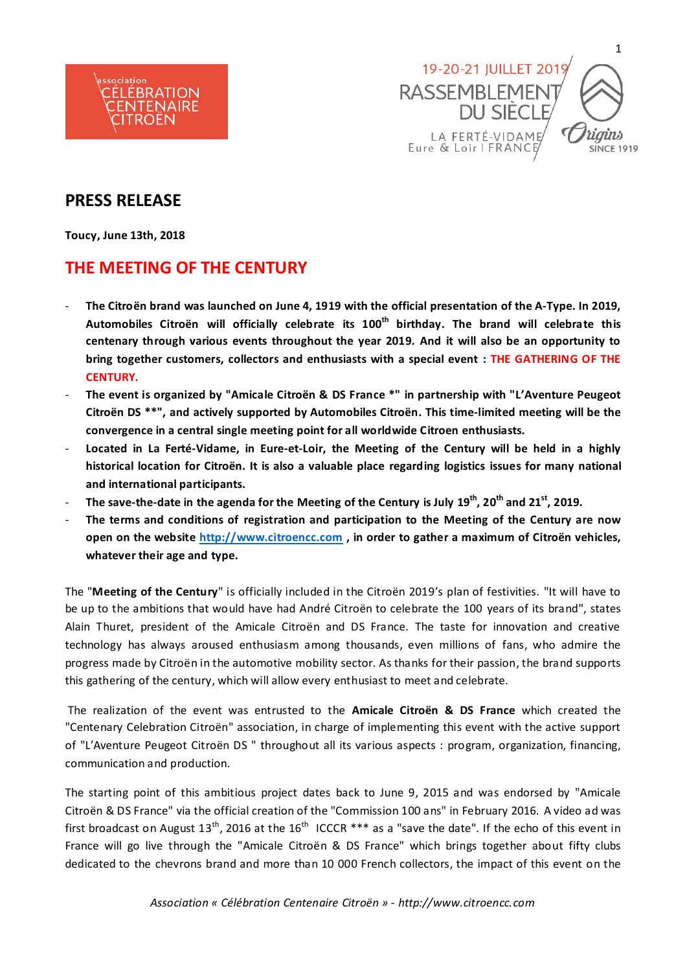



# **PRESS RELEASE**

**Toucy, June 13th, 2018**

# **THE MEETING OF THE CENTURY**

- **The Citroën brand was launched on June 4, 1919 with the official presentation of the A-Type. In 2019, Automobiles Citroën will officially celebrate its 100th birthday. The brand will celebrate this centenary through various events throughout the year 2019. And it will also be an opportunity to bring together customers, collectors and enthusiasts with a special event : THE GATHERING OF THE CENTURY.**
- **The event is organized by "Amicale Citroën & DS France \*" in partnership with "L'Aventure Peugeot Citroën DS \*\*", and actively supported by Automobiles Citroën. This time-limited meeting will be the convergence in a central single meeting point for all worldwide Citroen enthusiasts.**
- **Located in La Ferté-Vidame, in Eure-et-Loir, the Meeting of the Century will be held in a highly historical location for Citroën. It is also a valuable place regarding logistics issues for many national and international participants.**
- **The save-the-date in the agenda for the Meeting of the Century is July 19th, 20th and 21st , 2019.**
- The terms and conditions of registration and participation to the Meeting of the Century are now **open on the website [http://www.citroencc.com](http://www.citroencc.com/) , in order to gather a maximum of Citroën vehicles, whatever their age and type.**

The "**Meeting of the Century**" is officially included in the Citroën 2019's plan of festivities. "It will have to be up to the ambitions that would have had André Citroën to celebrate the 100 years of its brand", states Alain Thuret, president of the Amicale Citroën and DS France. The taste for innovation and creative technology has always aroused enthusiasm among thousands, even millions of fans, who admire the progress made by Citroën in the automotive mobility sector. As thanks for their passion, the brand supports this gathering of the century, which will allow every enthusiast to meet and celebrate.

The realization of the event was entrusted to the **Amicale Citroën & DS France** which created the "Centenary Celebration Citroën" association, in charge of implementing this event with the active support of "L'Aventure Peugeot Citroën DS " throughout all its various aspects : program, organization, financing, communication and production.

The starting point of this ambitious project dates back to June 9, 2015 and was endorsed by "Amicale Citroën & DS France" via the official creation of the "Commission 100 ans" in February 2016. A video ad was first broadcast on August 13<sup>th</sup>, 2016 at the 16<sup>th</sup> ICCCR \*\*\* as a "save the date". If the echo of this event in France will go live through the "Amicale Citroën & DS France" which brings together about fifty clubs dedicated to the chevrons brand and more than 10 000 French collectors, the impact of this event on the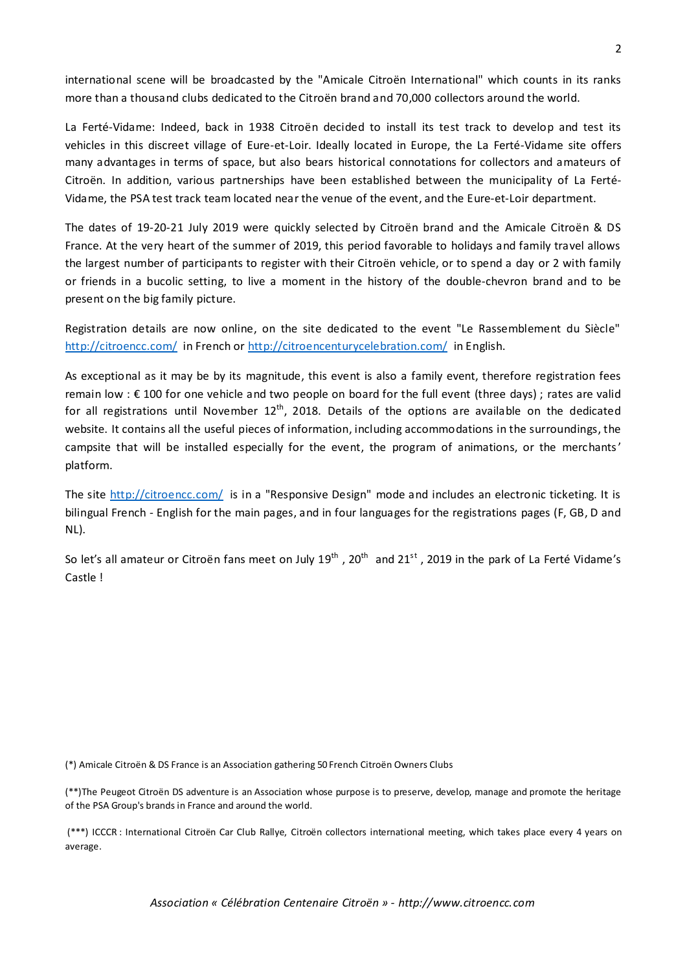international scene will be broadcasted by the "Amicale Citroën International" which counts in its ranks more than a thousand clubs dedicated to the Citroën brand and 70,000 collectors around the world.

La Ferté-Vidame: Indeed, back in 1938 Citroën decided to install its test track to develop and test its vehicles in this discreet village of Eure-et-Loir. Ideally located in Europe, the La Ferté-Vidame site offers many advantages in terms of space, but also bears historical connotations for collectors and amateurs of Citroën. In addition, various partnerships have been established between the municipality of La Ferté-Vidame, the PSA test track team located near the venue of the event, and the Eure-et-Loir department.

The dates of 19-20-21 July 2019 were quickly selected by Citroën brand and the Amicale Citroën & DS France. At the very heart of the summer of 2019, this period favorable to holidays and family travel allows the largest number of participants to register with their Citroën vehicle, or to spend a day or 2 with family or friends in a bucolic setting, to live a moment in the history of the double-chevron brand and to be present on the big family picture.

Registration details are now online, on the site dedicated to the event "Le Rassemblement du Siècle" <http://citroencc.com/> in French or<http://citroencenturycelebration.com/> in English.

As exceptional as it may be by its magnitude, this event is also a family event, therefore registration fees remain low : € 100 for one vehicle and two people on board for the full event (three days) ; rates are valid for all registrations until November  $12^{th}$ , 2018. Details of the options are available on the dedicated website. It contains all the useful pieces of information, including accommodations in the surroundings, the campsite that will be installed especially for the event, the program of animations, or the merchants' platform.

The site<http://citroencc.com/> is in a "Responsive Design" mode and includes an electronic ticketing. It is bilingual French - English for the main pages, and in four languages for the registrations pages (F, GB, D and NL).

So let's all amateur or Citroën fans meet on July 19<sup>th</sup>, 20<sup>th</sup> and 21<sup>st</sup>, 2019 in the park of La Ferté Vidame's Castle !

(\*) Amicale Citroën & DS France is an Association gathering 50 French Citroën Owners Clubs

(\*\*)The Peugeot Citroën DS adventure is an Association whose purpose is to preserve, develop, manage and promote the heritage of the PSA Group's brands in France and around the world.

(\*\*\*) ICCCR : International Citroën Car Club Rallye, Citroën collectors international meeting, which takes place every 4 years on average.

*Association « Célébration Centenaire Citroën » - http://www.citroencc.com*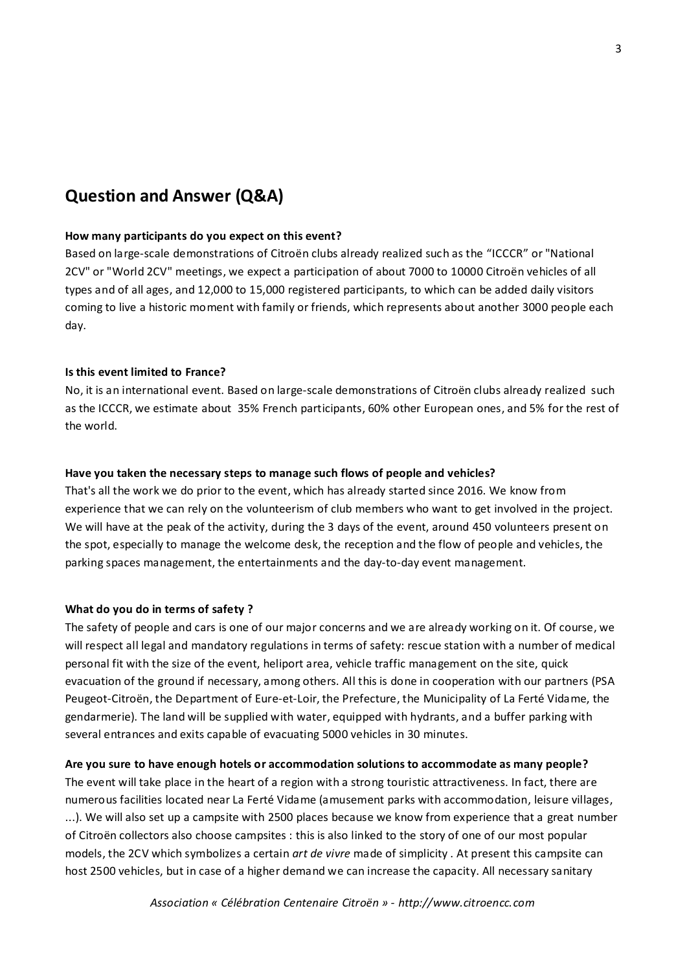# **Question and Answer (Q&A)**

#### **How many participants do you expect on this event?**

Based on large-scale demonstrations of Citroën clubs already realized such as the "ICCCR" or "National 2CV" or "World 2CV" meetings, we expect a participation of about 7000 to 10000 Citroën vehicles of all types and of all ages, and 12,000 to 15,000 registered participants, to which can be added daily visitors coming to live a historic moment with family or friends, which represents about another 3000 people each day.

## **Is this event limited to France?**

No, it is an international event. Based on large-scale demonstrations of Citroën clubs already realized such as the ICCCR, we estimate about 35% French participants, 60% other European ones, and 5% for the rest of the world.

## **Have you taken the necessary steps to manage such flows of people and vehicles?**

That's all the work we do prior to the event, which has already started since 2016. We know from experience that we can rely on the volunteerism of club members who want to get involved in the project. We will have at the peak of the activity, during the 3 days of the event, around 450 volunteers present on the spot, especially to manage the welcome desk, the reception and the flow of people and vehicles, the parking spaces management, the entertainments and the day-to-day event management.

#### **What do you do in terms of safety ?**

The safety of people and cars is one of our major concerns and we are already working on it. Of course, we will respect all legal and mandatory regulations in terms of safety: rescue station with a number of medical personal fit with the size of the event, heliport area, vehicle traffic management on the site, quick evacuation of the ground if necessary, among others. All this is done in cooperation with our partners (PSA Peugeot-Citroën, the Department of Eure-et-Loir, the Prefecture, the Municipality of La Ferté Vidame, the gendarmerie). The land will be supplied with water, equipped with hydrants, and a buffer parking with several entrances and exits capable of evacuating 5000 vehicles in 30 minutes.

## **Are you sure to have enough hotels or accommodation solutions to accommodate as many people?**

The event will take place in the heart of a region with a strong touristic attractiveness. In fact, there are numerous facilities located near La Ferté Vidame (amusement parks with accommodation, leisure villages, ...). We will also set up a campsite with 2500 places because we know from experience that a great number of Citroën collectors also choose campsites : this is also linked to the story of one of our most popular models, the 2CV which symbolizes a certain *art de vivre* made of simplicity . At present this campsite can host 2500 vehicles, but in case of a higher demand we can increase the capacity. All necessary sanitary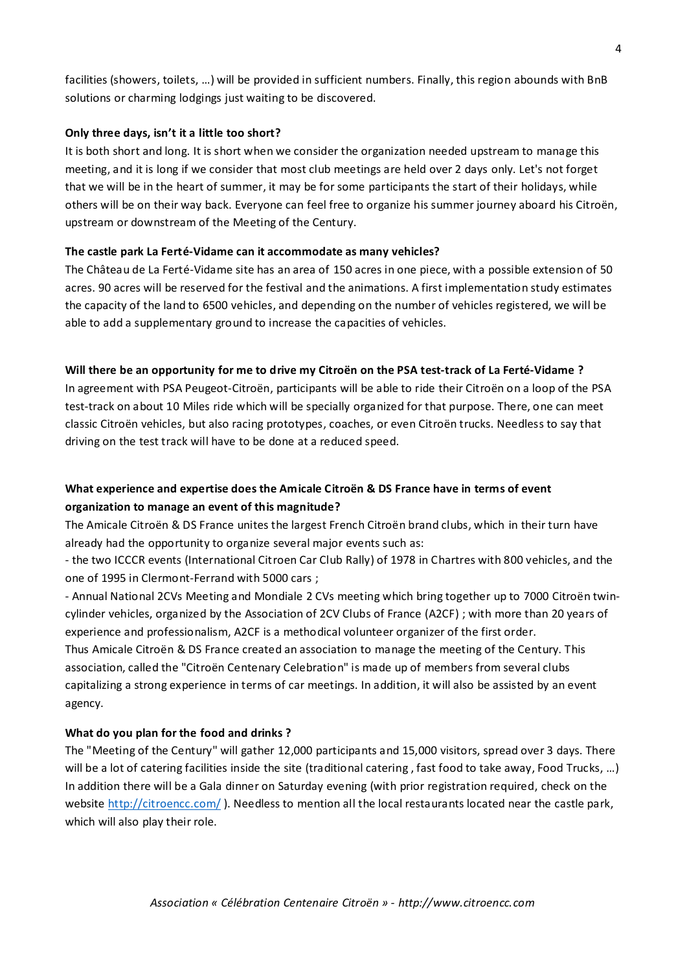facilities (showers, toilets, …) will be provided in sufficient numbers. Finally, this region abounds with BnB solutions or charming lodgings just waiting to be discovered.

## **Only three days, isn't it a little too short?**

It is both short and long. It is short when we consider the organization needed upstream to manage this meeting, and it is long if we consider that most club meetings are held over 2 days only. Let's not forget that we will be in the heart of summer, it may be for some participants the start of their holidays, while others will be on their way back. Everyone can feel free to organize his summer journey aboard his Citroën, upstream or downstream of the Meeting of the Century.

## **The castle park La Ferté-Vidame can it accommodate as many vehicles?**

The Château de La Ferté-Vidame site has an area of 150 acres in one piece, with a possible extension of 50 acres. 90 acres will be reserved for the festival and the animations. A first implementation study estimates the capacity of the land to 6500 vehicles, and depending on the number of vehicles registered, we will be able to add a supplementary ground to increase the capacities of vehicles.

## **Will there be an opportunity for me to drive my Citroën on the PSA test-track of La Ferté-Vidame ?**

In agreement with PSA Peugeot-Citroën, participants will be able to ride their Citroën on a loop of the PSA test-track on about 10 Miles ride which will be specially organized for that purpose. There, one can meet classic Citroën vehicles, but also racing prototypes, coaches, or even Citroën trucks. Needless to say that driving on the test track will have to be done at a reduced speed.

## **What experience and expertise does the Amicale Citroën & DS France have in terms of event organization to manage an event of this magnitude?**

The Amicale Citroën & DS France unites the largest French Citroën brand clubs, which in their turn have already had the opportunity to organize several major events such as:

- the two ICCCR events (International Citroen Car Club Rally) of 1978 in Chartres with 800 vehicles, and the one of 1995 in Clermont-Ferrand with 5000 cars ;

- Annual National 2CVs Meeting and Mondiale 2 CVs meeting which bring together up to 7000 Citroën twincylinder vehicles, organized by the Association of 2CV Clubs of France (A2CF) ; with more than 20 years of experience and professionalism, A2CF is a methodical volunteer organizer of the first order. Thus Amicale Citroën & DS France created an association to manage the meeting of the Century. This association, called the "Citroën Centenary Celebration" is made up of members from several clubs capitalizing a strong experience in terms of car meetings. In addition, it will also be assisted by an event agency.

## **What do you plan for the food and drinks ?**

The "Meeting of the Century" will gather 12,000 participants and 15,000 visitors, spread over 3 days. There will be a lot of catering facilities inside the site (traditional catering, fast food to take away, Food Trucks, ...) In addition there will be a Gala dinner on Saturday evening (with prior registration required, check on the website<http://citroencc.com/> ). Needless to mention all the local restaurants located near the castle park, which will also play their role.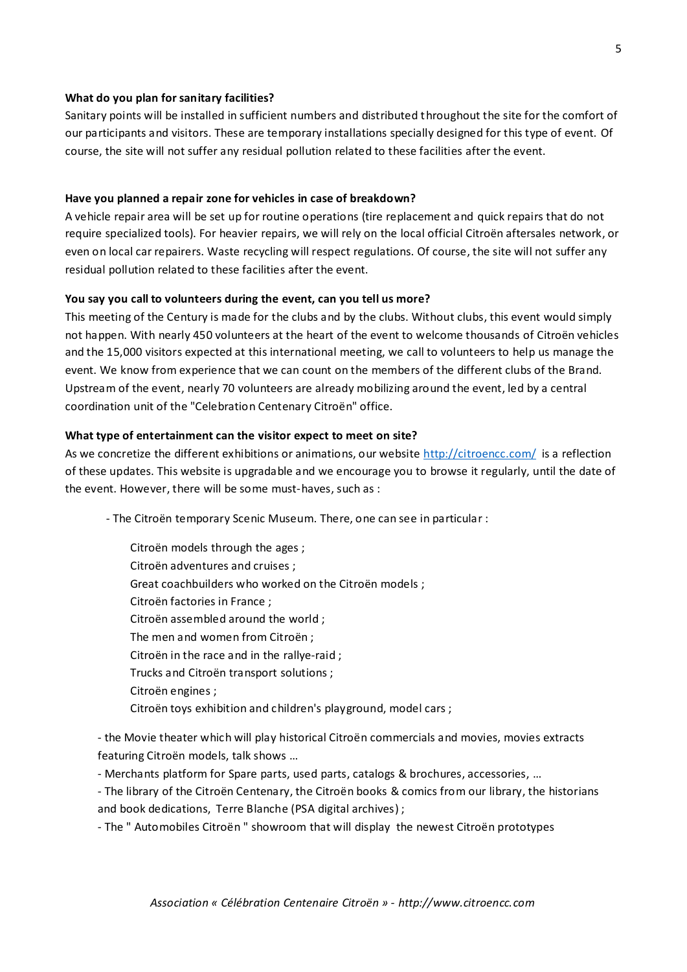#### **What do you plan for sanitary facilities?**

Sanitary points will be installed in sufficient numbers and distributed throughout the site for the comfort of our participants and visitors. These are temporary installations specially designed for this type of event. Of course, the site will not suffer any residual pollution related to these facilities after the event.

#### **Have you planned a repair zone for vehicles in case of breakdown?**

A vehicle repair area will be set up for routine operations (tire replacement and quick repairs that do not require specialized tools). For heavier repairs, we will rely on the local official Citroën aftersales network, or even on local car repairers. Waste recycling will respect regulations. Of course, the site will not suffer any residual pollution related to these facilities after the event.

#### **You say you call to volunteers during the event, can you tell us more?**

This meeting of the Century is made for the clubs and by the clubs. Without clubs, this event would simply not happen. With nearly 450 volunteers at the heart of the event to welcome thousands of Citroën vehicles and the 15,000 visitors expected at this international meeting, we call to volunteers to help us manage the event. We know from experience that we can count on the members of the different clubs of the Brand. Upstream of the event, nearly 70 volunteers are already mobilizing around the event, led by a central coordination unit of the "Celebration Centenary Citroën" office.

#### **What type of entertainment can the visitor expect to meet on site?**

As we concretize the different exhibitions or animations, our website<http://citroencc.com/> is a reflection of these updates. This website is upgradable and we encourage you to browse it regularly, until the date of the event. However, there will be some must-haves, such as :

- The Citroën temporary Scenic Museum. There, one can see in particular :

Citroën models through the ages ; Citroën adventures and cruises ; Great coachbuilders who worked on the Citroën models ; Citroën factories in France ; Citroën assembled around the world ; The men and women from Citroën ; Citroën in the race and in the rallye-raid ; Trucks and Citroën transport solutions ; Citroën engines ; Citroën toys exhibition and children's playground, model cars ;

- the Movie theater which will play historical Citroën commercials and movies, movies extracts featuring Citroën models, talk shows …

- Merchants platform for Spare parts, used parts, catalogs & brochures, accessories, …

- The library of the Citroën Centenary, the Citroën books & comics from our library, the historians and book dedications, Terre Blanche (PSA digital archives) ;

- The " Automobiles Citroën " showroom that will display the newest Citroën prototypes